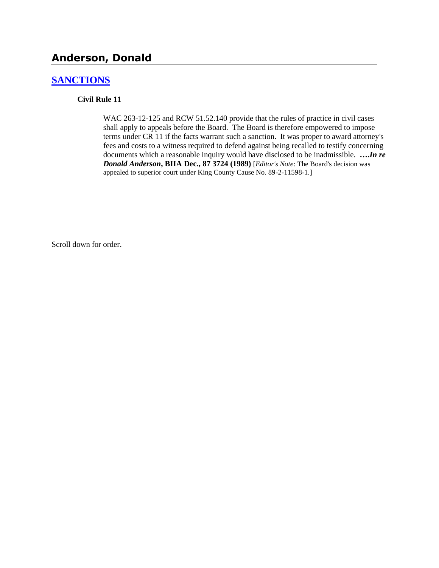# **Anderson, Donald**

### **[SANCTIONS](http://www.biia.wa.gov/SDSubjectIndex.html#SANCTIONS)**

### **Civil Rule 11**

WAC 263-12-125 and RCW 51.52.140 provide that the rules of practice in civil cases shall apply to appeals before the Board. The Board is therefore empowered to impose terms under CR 11 if the facts warrant such a sanction. It was proper to award attorney's fees and costs to a witness required to defend against being recalled to testify concerning documents which a reasonable inquiry would have disclosed to be inadmissible. **….***In re Donald Anderson***, BIIA Dec., 87 3724 (1989)** [*Editor's Note*: The Board's decision was appealed to superior court under King County Cause No. 89-2-11598-1.]

Scroll down for order.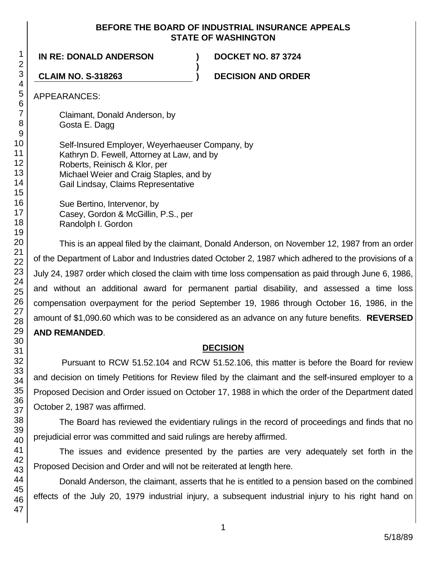### **BEFORE THE BOARD OF INDUSTRIAL INSURANCE APPEALS STATE OF WASHINGTON**

**)**

**IN RE: DONALD ANDERSON ) DOCKET NO. 87 3724**

**CLAIM NO. S-318263 ) DECISION AND ORDER**

APPEARANCES:

Claimant, Donald Anderson, by Gosta E. Dagg

Self-Insured Employer, Weyerhaeuser Company, by Kathryn D. Fewell, Attorney at Law, and by Roberts, Reinisch & Klor, per Michael Weier and Craig Staples, and by Gail Lindsay, Claims Representative

> Sue Bertino, Intervenor, by Casey, Gordon & McGillin, P.S., per Randolph I. Gordon

This is an appeal filed by the claimant, Donald Anderson, on November 12, 1987 from an order of the Department of Labor and Industries dated October 2, 1987 which adhered to the provisions of a July 24, 1987 order which closed the claim with time loss compensation as paid through June 6, 1986, and without an additional award for permanent partial disability, and assessed a time loss compensation overpayment for the period September 19, 1986 through October 16, 1986, in the amount of \$1,090.60 which was to be considered as an advance on any future benefits. **REVERSED AND REMANDED**.

## **DECISION**

Pursuant to RCW 51.52.104 and RCW 51.52.106, this matter is before the Board for review and decision on timely Petitions for Review filed by the claimant and the self-insured employer to a Proposed Decision and Order issued on October 17, 1988 in which the order of the Department dated October 2, 1987 was affirmed.

The Board has reviewed the evidentiary rulings in the record of proceedings and finds that no prejudicial error was committed and said rulings are hereby affirmed.

The issues and evidence presented by the parties are very adequately set forth in the Proposed Decision and Order and will not be reiterated at length here.

Donald Anderson, the claimant, asserts that he is entitled to a pension based on the combined effects of the July 20, 1979 industrial injury, a subsequent industrial injury to his right hand on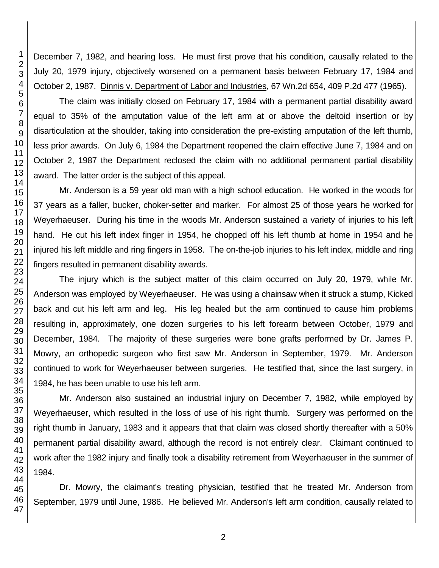December 7, 1982, and hearing loss. He must first prove that his condition, causally related to the July 20, 1979 injury, objectively worsened on a permanent basis between February 17, 1984 and October 2, 1987. Dinnis v. Department of Labor and Industries, 67 Wn.2d 654, 409 P.2d 477 (1965).

The claim was initially closed on February 17, 1984 with a permanent partial disability award equal to 35% of the amputation value of the left arm at or above the deltoid insertion or by disarticulation at the shoulder, taking into consideration the pre-existing amputation of the left thumb, less prior awards. On July 6, 1984 the Department reopened the claim effective June 7, 1984 and on October 2, 1987 the Department reclosed the claim with no additional permanent partial disability award. The latter order is the subject of this appeal.

Mr. Anderson is a 59 year old man with a high school education. He worked in the woods for 37 years as a faller, bucker, choker-setter and marker. For almost 25 of those years he worked for Weyerhaeuser. During his time in the woods Mr. Anderson sustained a variety of injuries to his left hand. He cut his left index finger in 1954, he chopped off his left thumb at home in 1954 and he injured his left middle and ring fingers in 1958. The on-the-job injuries to his left index, middle and ring fingers resulted in permanent disability awards.

The injury which is the subject matter of this claim occurred on July 20, 1979, while Mr. Anderson was employed by Weyerhaeuser. He was using a chainsaw when it struck a stump, Kicked back and cut his left arm and leg. His leg healed but the arm continued to cause him problems resulting in, approximately, one dozen surgeries to his left forearm between October, 1979 and December, 1984. The majority of these surgeries were bone grafts performed by Dr. James P. Mowry, an orthopedic surgeon who first saw Mr. Anderson in September, 1979. Mr. Anderson continued to work for Weyerhaeuser between surgeries. He testified that, since the last surgery, in 1984, he has been unable to use his left arm.

Mr. Anderson also sustained an industrial injury on December 7, 1982, while employed by Weyerhaeuser, which resulted in the loss of use of his right thumb. Surgery was performed on the right thumb in January, 1983 and it appears that that claim was closed shortly thereafter with a 50% permanent partial disability award, although the record is not entirely clear. Claimant continued to work after the 1982 injury and finally took a disability retirement from Weyerhaeuser in the summer of 1984.

Dr. Mowry, the claimant's treating physician, testified that he treated Mr. Anderson from September, 1979 until June, 1986. He believed Mr. Anderson's left arm condition, causally related to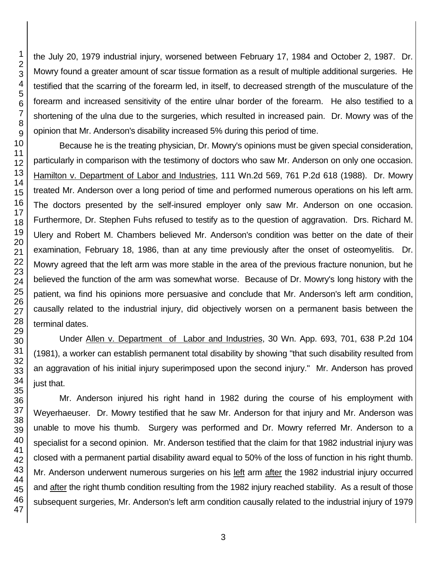the July 20, 1979 industrial injury, worsened between February 17, 1984 and October 2, 1987. Dr. Mowry found a greater amount of scar tissue formation as a result of multiple additional surgeries. He testified that the scarring of the forearm led, in itself, to decreased strength of the musculature of the forearm and increased sensitivity of the entire ulnar border of the forearm. He also testified to a shortening of the ulna due to the surgeries, which resulted in increased pain. Dr. Mowry was of the opinion that Mr. Anderson's disability increased 5% during this period of time.

Because he is the treating physician, Dr. Mowry's opinions must be given special consideration, particularly in comparison with the testimony of doctors who saw Mr. Anderson on only one occasion. Hamilton v. Department of Labor and Industries, 111 Wn.2d 569, 761 P.2d 618 (1988). Dr. Mowry treated Mr. Anderson over a long period of time and performed numerous operations on his left arm. The doctors presented by the self-insured employer only saw Mr. Anderson on one occasion. Furthermore, Dr. Stephen Fuhs refused to testify as to the question of aggravation. Drs. Richard M. Ulery and Robert M. Chambers believed Mr. Anderson's condition was better on the date of their examination, February 18, 1986, than at any time previously after the onset of osteomyelitis. Dr. Mowry agreed that the left arm was more stable in the area of the previous fracture nonunion, but he believed the function of the arm was somewhat worse. Because of Dr. Mowry's long history with the patient, wa find his opinions more persuasive and conclude that Mr. Anderson's left arm condition, causally related to the industrial injury, did objectively worsen on a permanent basis between the terminal dates.

Under Allen v. Department of Labor and Industries, 30 Wn. App. 693, 701, 638 P.2d 104 (1981), a worker can establish permanent total disability by showing "that such disability resulted from an aggravation of his initial injury superimposed upon the second injury." Mr. Anderson has proved

Mr. Anderson injured his right hand in 1982 during the course of his employment with Weyerhaeuser. Dr. Mowry testified that he saw Mr. Anderson for that injury and Mr. Anderson was unable to move his thumb. Surgery was performed and Dr. Mowry referred Mr. Anderson to a specialist for a second opinion. Mr. Anderson testified that the claim for that 1982 industrial injury was closed with a permanent partial disability award equal to 50% of the loss of function in his right thumb. Mr. Anderson underwent numerous surgeries on his left arm after the 1982 industrial injury occurred and after the right thumb condition resulting from the 1982 injury reached stability. As a result of those subsequent surgeries, Mr. Anderson's left arm condition causally related to the industrial injury of 1979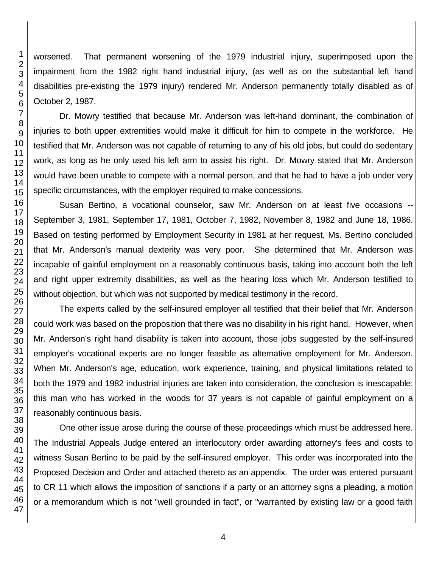worsened. That permanent worsening of the 1979 industrial injury, superimposed upon the impairment from the 1982 right hand industrial injury, (as well as on the substantial left hand disabilities pre-existing the 1979 injury) rendered Mr. Anderson permanently totally disabled as of October 2, 1987.

Dr. Mowry testified that because Mr. Anderson was left-hand dominant, the combination of injuries to both upper extremities would make it difficult for him to compete in the workforce. He testified that Mr. Anderson was not capable of returning to any of his old jobs, but could do sedentary work, as long as he only used his left arm to assist his right. Dr. Mowry stated that Mr. Anderson would have been unable to compete with a normal person, and that he had to have a job under very specific circumstances, with the employer required to make concessions.

Susan Bertino, a vocational counselor, saw Mr. Anderson on at least five occasions -- September 3, 1981, September 17, 1981, October 7, 1982, November 8, 1982 and June 18, 1986. Based on testing performed by Employment Security in 1981 at her request, Ms. Bertino concluded that Mr. Anderson's manual dexterity was very poor. She determined that Mr. Anderson was incapable of gainful employment on a reasonably continuous basis, taking into account both the left and right upper extremity disabilities, as well as the hearing loss which Mr. Anderson testified to without objection, but which was not supported by medical testimony in the record.

The experts called by the self-insured employer all testified that their belief that Mr. Anderson could work was based on the proposition that there was no disability in his right hand. However, when Mr. Anderson's right hand disability is taken into account, those jobs suggested by the self-insured employer's vocational experts are no longer feasible as alternative employment for Mr. Anderson. When Mr. Anderson's age, education, work experience, training, and physical limitations related to both the 1979 and 1982 industrial injuries are taken into consideration, the conclusion is inescapable; this man who has worked in the woods for 37 years is not capable of gainful employment on a reasonably continuous basis.

One other issue arose during the course of these proceedings which must be addressed here. The Industrial Appeals Judge entered an interlocutory order awarding attorney's fees and costs to witness Susan Bertino to be paid by the self-insured employer. This order was incorporated into the Proposed Decision and Order and attached thereto as an appendix. The order was entered pursuant to CR 11 which allows the imposition of sanctions if a party or an attorney signs a pleading, a motion or a memorandum which is not "well grounded in fact", or "warranted by existing law or a good faith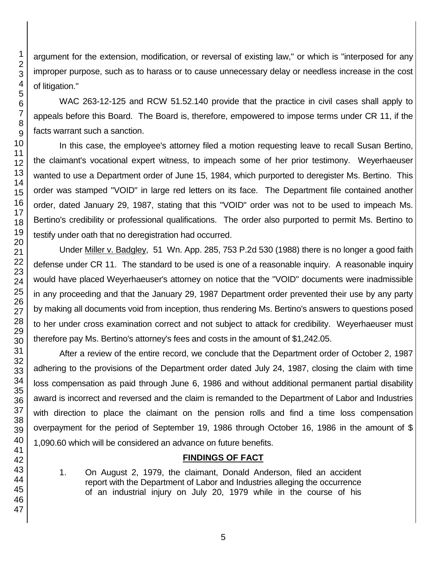argument for the extension, modification, or reversal of existing law," or which is "interposed for any improper purpose, such as to harass or to cause unnecessary delay or needless increase in the cost of litigation."

WAC 263-12-125 and RCW 51.52.140 provide that the practice in civil cases shall apply to appeals before this Board. The Board is, therefore, empowered to impose terms under CR 11, if the facts warrant such a sanction.

In this case, the employee's attorney filed a motion requesting leave to recall Susan Bertino, the claimant's vocational expert witness, to impeach some of her prior testimony. Weyerhaeuser wanted to use a Department order of June 15, 1984, which purported to deregister Ms. Bertino. This order was stamped "VOID" in large red letters on its face. The Department file contained another order, dated January 29, 1987, stating that this "VOID" order was not to be used to impeach Ms. Bertino's credibility or professional qualifications. The order also purported to permit Ms. Bertino to testify under oath that no deregistration had occurred.

Under Miller v. Badgley, 51 Wn. App. 285, 753 P.2d 530 (1988) there is no longer a good faith defense under CR 11. The standard to be used is one of a reasonable inquiry. A reasonable inquiry would have placed Weyerhaeuser's attorney on notice that the "VOID" documents were inadmissible in any proceeding and that the January 29, 1987 Department order prevented their use by any party by making all documents void from inception, thus rendering Ms. Bertino's answers to questions posed to her under cross examination correct and not subject to attack for credibility. Weyerhaeuser must therefore pay Ms. Bertino's attorney's fees and costs in the amount of \$1,242.05.

After a review of the entire record, we conclude that the Department order of October 2, 1987 adhering to the provisions of the Department order dated July 24, 1987, closing the claim with time loss compensation as paid through June 6, 1986 and without additional permanent partial disability award is incorrect and reversed and the claim is remanded to the Department of Labor and Industries with direction to place the claimant on the pension rolls and find a time loss compensation overpayment for the period of September 19, 1986 through October 16, 1986 in the amount of \$ 1,090.60 which will be considered an advance on future benefits.

## **FINDINGS OF FACT**

1. On August 2, 1979, the claimant, Donald Anderson, filed an accident report with the Department of Labor and Industries alleging the occurrence of an industrial injury on July 20, 1979 while in the course of his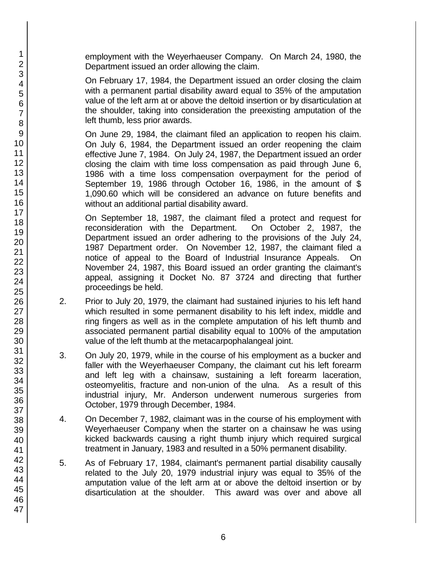employment with the Weyerhaeuser Company. On March 24, 1980, the Department issued an order allowing the claim.

On February 17, 1984, the Department issued an order closing the claim with a permanent partial disability award equal to 35% of the amputation value of the left arm at or above the deltoid insertion or by disarticulation at the shoulder, taking into consideration the preexisting amputation of the left thumb, less prior awards.

On June 29, 1984, the claimant filed an application to reopen his claim. On July 6, 1984, the Department issued an order reopening the claim effective June 7, 1984. On July 24, 1987, the Department issued an order closing the claim with time loss compensation as paid through June 6, 1986 with a time loss compensation overpayment for the period of September 19, 1986 through October 16, 1986, in the amount of \$ 1,090.60 which will be considered an advance on future benefits and without an additional partial disability award.

On September 18, 1987, the claimant filed a protect and request for reconsideration with the Department. On October 2, 1987, the Department issued an order adhering to the provisions of the July 24, 1987 Department order. On November 12, 1987, the claimant filed a notice of appeal to the Board of Industrial Insurance Appeals. On November 24, 1987, this Board issued an order granting the claimant's appeal, assigning it Docket No. 87 3724 and directing that further proceedings be held.

- 2. Prior to July 20, 1979, the claimant had sustained injuries to his left hand which resulted in some permanent disability to his left index, middle and ring fingers as well as in the complete amputation of his left thumb and associated permanent partial disability equal to 100% of the amputation value of the left thumb at the metacarpophalangeal joint.
- 3. On July 20, 1979, while in the course of his employment as a bucker and faller with the Weyerhaeuser Company, the claimant cut his left forearm and left leg with a chainsaw, sustaining a left forearm laceration, osteomyelitis, fracture and non-union of the ulna. As a result of this industrial injury, Mr. Anderson underwent numerous surgeries from October, 1979 through December, 1984.
- 4. On December 7, 1982, claimant was in the course of his employment with Weyerhaeuser Company when the starter on a chainsaw he was using kicked backwards causing a right thumb injury which required surgical treatment in January, 1983 and resulted in a 50% permanent disability.
- 5. As of February 17, 1984, claimant's permanent partial disability causally related to the July 20, 1979 industrial injury was equal to 35% of the amputation value of the left arm at or above the deltoid insertion or by disarticulation at the shoulder. This award was over and above all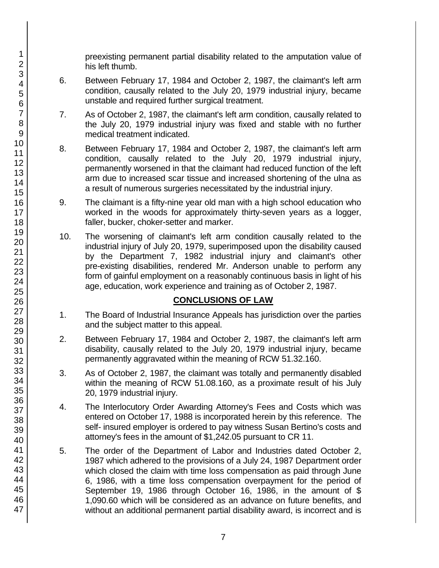preexisting permanent partial disability related to the amputation value of his left thumb.

- 6. Between February 17, 1984 and October 2, 1987, the claimant's left arm condition, causally related to the July 20, 1979 industrial injury, became unstable and required further surgical treatment.
- 7. As of October 2, 1987, the claimant's left arm condition, causally related to the July 20, 1979 industrial injury was fixed and stable with no further medical treatment indicated.
- 8. Between February 17, 1984 and October 2, 1987, the claimant's left arm condition, causally related to the July 20, 1979 industrial injury, permanently worsened in that the claimant had reduced function of the left arm due to increased scar tissue and increased shortening of the ulna as a result of numerous surgeries necessitated by the industrial injury.
- 9. The claimant is a fifty-nine year old man with a high school education who worked in the woods for approximately thirty-seven years as a logger, faller, bucker, choker-setter and marker.
- 10. The worsening of claimant's left arm condition causally related to the industrial injury of July 20, 1979, superimposed upon the disability caused by the Department 7, 1982 industrial injury and claimant's other pre-existing disabilities, rendered Mr. Anderson unable to perform any form of gainful employment on a reasonably continuous basis in light of his age, education, work experience and training as of October 2, 1987.

## **CONCLUSIONS OF LAW**

- 1. The Board of Industrial Insurance Appeals has jurisdiction over the parties and the subject matter to this appeal.
- 2. Between February 17, 1984 and October 2, 1987, the claimant's left arm disability, causally related to the July 20, 1979 industrial injury, became permanently aggravated within the meaning of RCW 51.32.160.
- 3. As of October 2, 1987, the claimant was totally and permanently disabled within the meaning of RCW 51.08.160, as a proximate result of his July 20, 1979 industrial injury.
- 4. The Interlocutory Order Awarding Attorney's Fees and Costs which was entered on October 17, 1988 is incorporated herein by this reference. The self- insured employer is ordered to pay witness Susan Bertino's costs and attorney's fees in the amount of \$1,242.05 pursuant to CR 11.
- 5. The order of the Department of Labor and Industries dated October 2, 1987 which adhered to the provisions of a July 24, 1987 Department order which closed the claim with time loss compensation as paid through June 6, 1986, with a time loss compensation overpayment for the period of September 19, 1986 through October 16, 1986, in the amount of \$ 1,090.60 which will be considered as an advance on future benefits, and without an additional permanent partial disability award, is incorrect and is